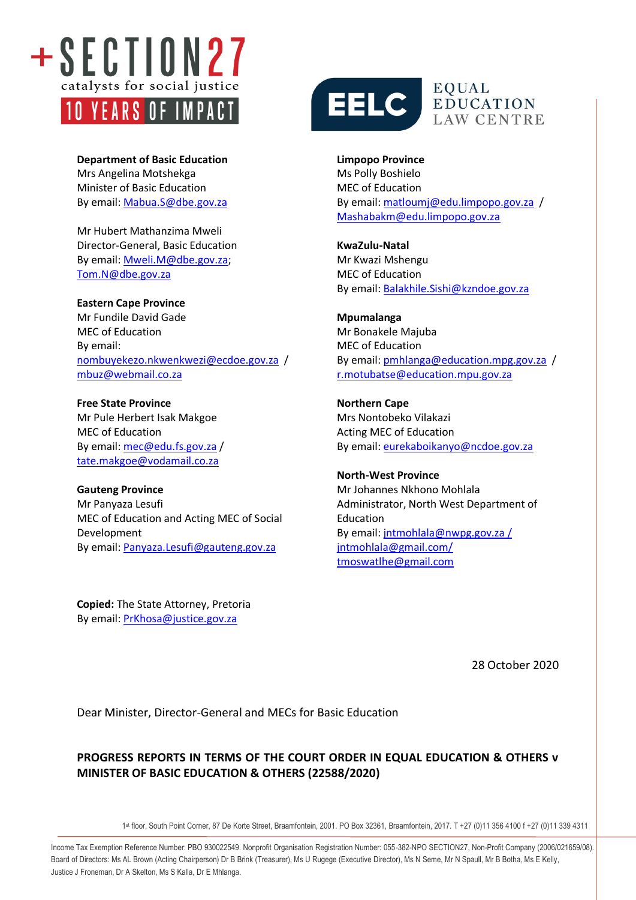

**Department of Basic Education** Mrs Angelina Motshekga Minister of Basic Education By email[: Mabua.S@dbe.gov.za](mailto:Mabua.S@dbe.gov.za)

Mr Hubert Mathanzima Mweli Director-General, Basic Education By email[: Mweli.M@dbe.gov.za;](mailto:Mweli.M@dbe.gov.za) [Tom.N@dbe.gov.za](mailto:Tom.N@dbe.gov.za)

**Eastern Cape Province** Mr Fundile David Gade MEC of Education By email: [nombuyekezo.nkwenkwezi@ecdoe.gov.za](mailto:nombuyekezo.nkwenkwezi@ecdoe.gov.za) / [mbuz@webmail.co.za](mailto:mbuz@webmail.co.za)

**Free State Province** Mr Pule Herbert Isak Makgoe MEC of Education By email[: mec@edu.fs.gov.za](mailto:mec@edu.fs.gov.za) / [tate.makgoe@vodamail.co.za](mailto:tate.makgoe@vodamail.co.za)

**Gauteng Province** Mr Panyaza Lesufi MEC of Education and Acting MEC of Social Development By email[: Panyaza.Lesufi@gauteng.gov.za](mailto:Panyaza.Lesufi@gauteng.gov.za)

**Copied:** The State Attorney, Pretoria By email[: PrKhosa@justice.gov.za](mailto:PrKhosa@justice.gov.za)



**LAW CENTRE** 

**Limpopo Province** Ms Polly Boshielo MEC of Education By email: [matloumj@edu.limpopo.gov.za](mailto:matloumj@edu.limpopo.gov.za) / [Mashabakm@edu.limpopo.gov.za](mailto:Mashabakm@edu.limpopo.gov.za)

**KwaZulu-Natal** Mr Kwazi Mshengu MEC of Education By email: [Balakhile.Sishi@kzndoe.gov.za](mailto:Balakhile.Sishi@kzndoe.gov.za)

**Mpumalanga** Mr Bonakele Majuba MEC of Education By email: [pmhlanga@education.mpg.gov.za](mailto:pmhlanga@education.mpg.gov.za) / [r.motubatse@education.mpu.gov.za](mailto:r.motubatse@education.mpu.gov.za)

**Northern Cape** Mrs Nontobeko Vilakazi Acting MEC of Education By email: [eurekaboikanyo@ncdoe.gov.za](mailto:eurekaboikanyo@ncdoe.gov.za)

**North-West Province** Mr Johannes Nkhono Mohlala Administrator, North West Department of Education By email: [jntmohlala@nwpg.gov.za](mailto:jntmohlala@nwpg.gov.za) / jntmohlala@gmail.com/ tmoswatlhe@gmail.com

28 October 2020

info@section27.org.za **www.section27.org.za**

Dear Minister, Director-General and MECs for Basic Education

## **PROGRESS REPORTS IN TERMS OF THE COURT ORDER IN EQUAL EDUCATION & OTHERS v MINISTER OF BASIC EDUCATION & OTHERS (22588/2020)**

1 st floor, South Point Corner, 87 De Korte Street, Braamfontein, 2001. PO Box 32361, Braamfontein, 2017. T +27 (0)11 356 4100 f +27 (0)11 339 4311

Income Tax Exemption Reference Number: PBO 930022549. Nonprofit Organisation Registration Number: 055-382-NPO SECTION27, Non-Profit Company (2006/021659/08). Board of Directors: Ms AL Brown (Acting Chairperson) Dr B Brink (Treasurer), Ms U Rugege (Executive Director), Ms N Seme, Mr N Spaull, Mr B Botha, Ms E Kelly, Justice J Froneman, Dr A Skelton, Ms S Kalla, Dr E Mhlanga.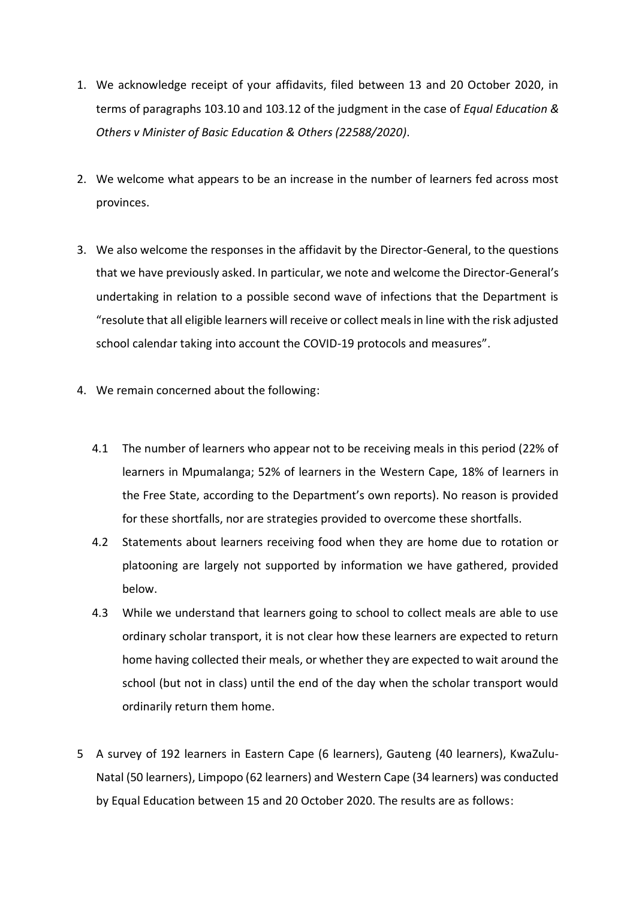- 1. We acknowledge receipt of your affidavits, filed between 13 and 20 October 2020, in terms of paragraphs 103.10 and 103.12 of the judgment in the case of *Equal Education & Others v Minister of Basic Education & Others (22588/2020)*.
- 2. We welcome what appears to be an increase in the number of learners fed across most provinces.
- 3. We also welcome the responses in the affidavit by the Director-General, to the questions that we have previously asked. In particular, we note and welcome the Director-General's undertaking in relation to a possible second wave of infections that the Department is "resolute that all eligible learners will receive or collect meals in line with the risk adjusted school calendar taking into account the COVID-19 protocols and measures".
- 4. We remain concerned about the following:
	- 4.1 The number of learners who appear not to be receiving meals in this period (22% of learners in Mpumalanga; 52% of learners in the Western Cape, 18% of learners in the Free State, according to the Department's own reports). No reason is provided for these shortfalls, nor are strategies provided to overcome these shortfalls.
	- 4.2 Statements about learners receiving food when they are home due to rotation or platooning are largely not supported by information we have gathered, provided below.
	- 4.3 While we understand that learners going to school to collect meals are able to use ordinary scholar transport, it is not clear how these learners are expected to return home having collected their meals, or whether they are expected to wait around the school (but not in class) until the end of the day when the scholar transport would ordinarily return them home.
- 5 A survey of 192 learners in Eastern Cape (6 learners), Gauteng (40 learners), KwaZulu-Natal (50 learners), Limpopo (62 learners) and Western Cape (34 learners) was conducted by Equal Education between 15 and 20 October 2020. The results are as follows: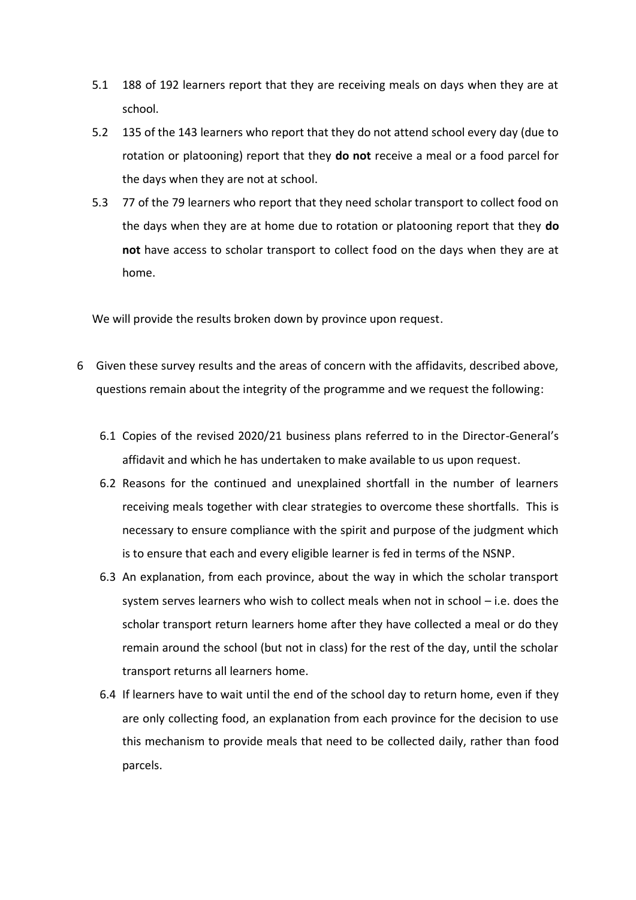- 5.1 188 of 192 learners report that they are receiving meals on days when they are at school.
- 5.2 135 of the 143 learners who report that they do not attend school every day (due to rotation or platooning) report that they **do not** receive a meal or a food parcel for the days when they are not at school.
- 5.3 77 of the 79 learners who report that they need scholar transport to collect food on the days when they are at home due to rotation or platooning report that they **do not** have access to scholar transport to collect food on the days when they are at home.

We will provide the results broken down by province upon request.

- 6 Given these survey results and the areas of concern with the affidavits, described above, questions remain about the integrity of the programme and we request the following:
	- 6.1 Copies of the revised 2020/21 business plans referred to in the Director-General's affidavit and which he has undertaken to make available to us upon request.
	- 6.2 Reasons for the continued and unexplained shortfall in the number of learners receiving meals together with clear strategies to overcome these shortfalls. This is necessary to ensure compliance with the spirit and purpose of the judgment which is to ensure that each and every eligible learner is fed in terms of the NSNP.
	- 6.3 An explanation, from each province, about the way in which the scholar transport system serves learners who wish to collect meals when not in school – i.e. does the scholar transport return learners home after they have collected a meal or do they remain around the school (but not in class) for the rest of the day, until the scholar transport returns all learners home.
	- 6.4 If learners have to wait until the end of the school day to return home, even if they are only collecting food, an explanation from each province for the decision to use this mechanism to provide meals that need to be collected daily, rather than food parcels.